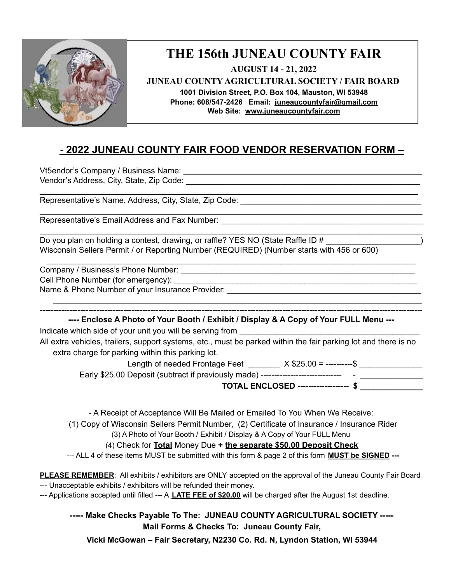

## **THE 156th JUNEAU COUNTY FAIR**

**AUGUST 14 - 21, 2022 JUNEAU COUNTY AGRICULTURAL SOCIETY / FAIR BOARD 1001 Division Street, P.O. Box 104, Mauston, WI 53948 Phone: 608/547-2426 Email: [juneaucountyfair@gmail.com](mailto:juneaucountyfair@gmail.com) Web Site: [www.juneaucountyf](http://www.juneaucounty/)air.com**

## **- 2022 JUNEAU COUNTY FAIR FOOD VENDOR RESERVATION FORM –**

\_\_\_\_\_\_\_\_\_\_\_\_\_\_\_\_\_\_\_\_\_\_\_\_\_\_\_\_\_\_\_\_\_\_\_\_\_\_\_\_\_\_\_\_\_\_\_\_\_\_\_\_\_\_\_\_\_\_\_\_\_\_\_\_\_\_\_\_\_\_\_\_\_\_\_\_\_\_\_\_\_\_\_\_

\_\_\_\_\_\_\_\_\_\_\_\_\_\_\_\_\_\_\_\_\_\_\_\_\_\_\_\_\_\_\_\_\_\_\_\_\_\_\_\_\_\_\_\_\_\_\_\_\_\_\_\_\_\_\_\_\_\_\_\_\_\_\_\_\_\_\_\_\_\_\_\_\_\_\_\_\_\_\_\_\_\_\_\_\_

\_\_\_\_\_\_\_\_\_\_\_\_\_\_\_\_\_\_\_\_\_\_\_\_\_\_\_\_\_\_\_\_\_\_\_\_\_\_\_\_\_\_\_\_\_\_\_\_\_\_\_\_\_\_\_\_\_\_\_\_\_\_\_\_\_\_\_\_\_\_\_\_\_\_\_\_\_\_\_\_\_\_\_\_\_

\_\_\_\_\_\_\_\_\_\_\_\_\_\_\_\_\_\_\_\_\_\_\_\_\_\_\_\_\_\_\_\_\_\_\_\_\_\_\_\_\_\_\_\_\_\_\_\_\_\_\_\_\_\_\_\_\_\_\_\_\_\_\_\_\_\_\_\_\_\_\_\_\_\_\_\_\_\_\_\_\_\_

Vt5endor's Company / Business Name: \_\_\_\_\_\_\_\_\_\_\_\_\_\_\_\_\_\_\_\_\_\_\_\_\_\_\_\_\_\_\_\_\_\_\_\_\_\_\_\_\_\_\_\_\_\_\_\_\_\_\_\_\_ Vendor's Address, City, State, Zip Code: \_\_\_\_\_\_\_\_\_\_\_\_\_\_\_\_\_\_\_\_\_\_\_\_\_\_\_\_\_\_\_\_\_\_\_\_\_\_\_\_\_\_\_\_\_\_\_\_\_\_\_\_

Representative's Name, Address, City, State, Zip Code:

Representative's Email Address and Fax Number:

Do you plan on holding a contest, drawing, or raffle? YES NO (State Raffle ID # Wisconsin Sellers Permit / or Reporting Number (REQUIRED) (Number starts with 456 or 600)

Company / Business's Phone Number: \_\_\_\_\_\_\_\_\_\_\_\_\_\_\_\_\_\_\_\_\_\_\_\_\_\_\_\_\_\_\_\_\_\_\_\_\_\_\_\_\_\_\_\_\_\_\_\_\_\_\_\_

Cell Phone Number (for emergency):

Name & Phone Number of your Insurance Provider:

**---- Enclose A Photo of Your Booth / Exhibit / Display & A Copy of Your FULL Menu ---**

\_\_\_\_\_\_\_\_\_\_\_\_\_\_\_\_\_\_\_\_\_\_\_\_\_\_\_\_\_\_\_\_\_\_\_\_\_\_\_\_\_\_\_\_\_\_\_\_\_\_\_\_\_\_\_\_\_\_\_\_\_\_\_\_\_\_\_\_\_\_\_\_\_\_\_\_\_\_\_\_\_\_ **---------------------------------------------------------------------------------------------------------------------------------------------**-

Indicate which side of your unit you will be serving from

All extra vehicles, trailers, support systems, etc., must be parked within the fair parking lot and there is no extra charge for parking within this parking lot.

Length of needed Frontage Feet \_\_\_\_\_\_\_ X \$25.00 = -----------\$ \_\_\_\_\_\_\_\_\_\_\_\_\_\_\_\_\_

Early \$25.00 Deposit (subtract if previously made) ------------------------------ - \_\_\_\_\_\_\_\_\_\_\_\_\_\_

**TOTAL ENCLOSED ------------------- \$ \_\_\_\_\_\_\_\_\_\_\_\_\_\_**

- A Receipt of Acceptance Will Be Mailed or Emailed To You When We Receive:

(1) Copy of Wisconsin Sellers Permit Number, (2) Certificate of Insurance / Insurance Rider

(3) A Photo of Your Booth / Exhibit / Display & A Copy of Your FULL Menu

(4) Check for **Total** Money Due **+ the separate \$50.00 Deposit Check**

--- ALL 4 of these items MUST be submitted with this form & page 2 of this form **MUST be SIGNED ---**

**PLEASE REMEMBER**: All exhibits / exhibitors are ONLY accepted on the approval of the Juneau County Fair Board --- Unacceptable exhibits / exhibitors will be refunded their money.

--- Applications accepted until filled --- A **LATE FEE of \$20.00** will be charged after the August 1st deadline.

**----- Make Checks Payable To The: JUNEAU COUNTY AGRICULTURAL SOCIETY ----- Mail Forms & Checks To: Juneau County Fair,**

**Vicki McGowan – Fair Secretary, N2230 Co. Rd. N, Lyndon Station, WI 53944**